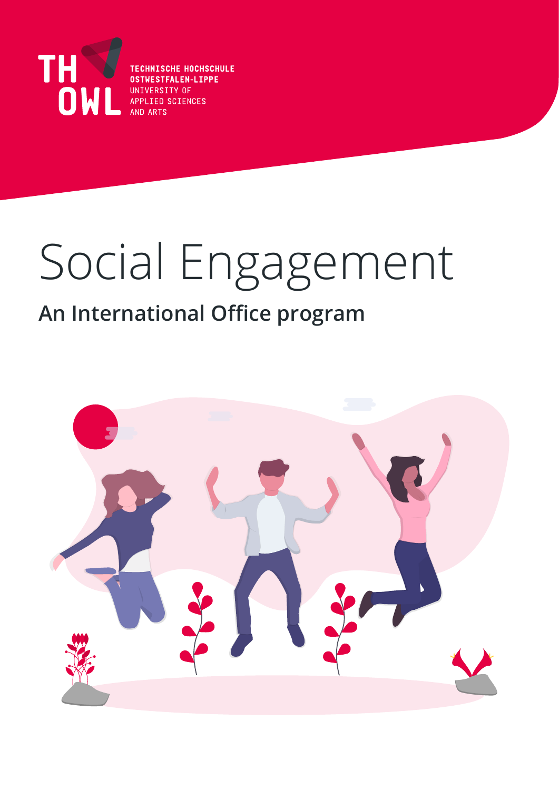

**TECHNISCHE HOCHSCHULE OSTWESTFALEN-LIPPE** UNIVERSITY OF APPLIED SCIENCES AND ARTS

# Social Engagement

### **An International Office program**

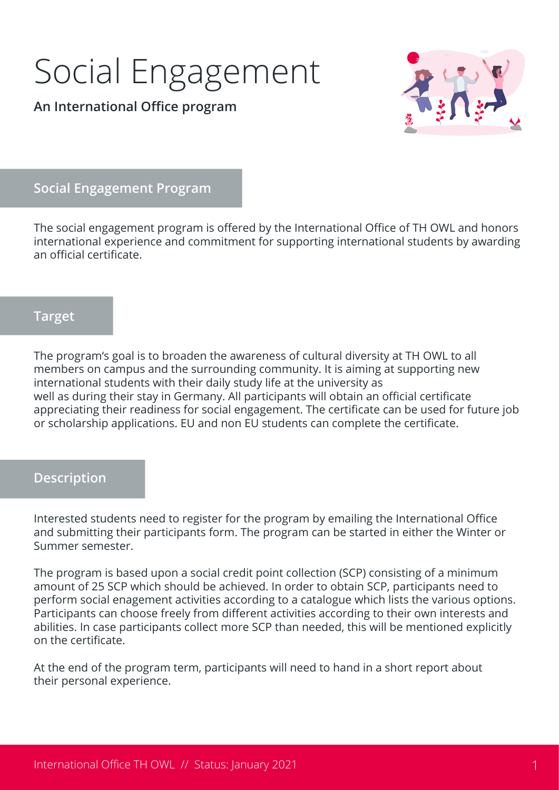### Social Engagement

**An International Office program**



#### **Social Engagement Program**

The social engagement program is offered by the International Office of TH OWL and honors international experience and commitment for supporting international students by awarding an official certificate.

#### **Target**

The program's goal is to broaden the awareness of cultural diversity at TH OWL to all members on campus and the surrounding community. It is aiming at supporting new international students with their daily study life at the university as well as during their stay in Germany. All participants will obtain an official certificate appreciating their readiness for social engagement. The certificate can be used for future job or scholarship applications. EU and non EU students can complete the certificate.

#### **Description**

Interested students need to register for the program by emailing the International Office and submitting their participants form. The program can be started in either the Winter or Summer semester.

The program is based upon a social credit point collection (SCP) consisting of a minimum amount of 25 SCP which should be achieved. In order to obtain SCP, participants need to perform social enagement activities according to a catalogue which lists the various options. Participants can choose freely from different activities according to their own interests and abilities. In case participants collect more SCP than needed, this will be mentioned explicitly on the certificate.

At the end of the program term, participants will need to hand in a short report about their personal experience.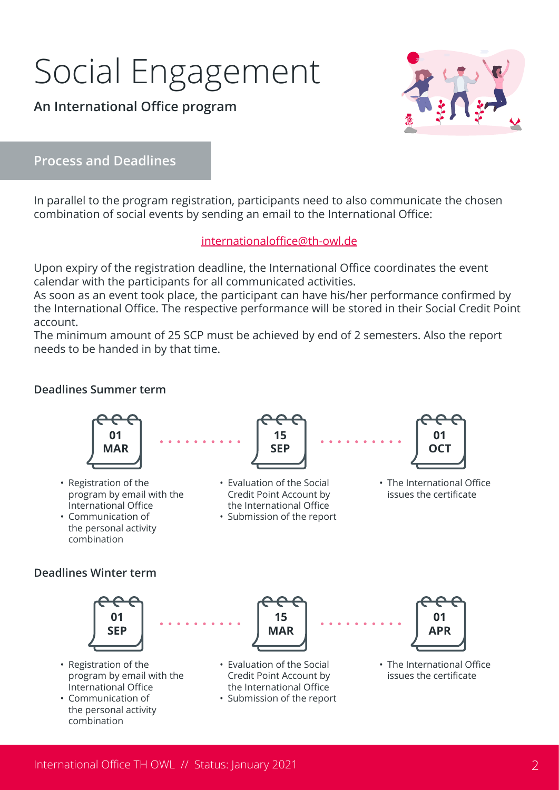## Social Engagement

#### **An International Office program**



**Process and Deadlines**

In parallel to the program registration, participants need to also communicate the chosen combination of social events by sending an email to the International Office:

#### [internationaloffice@th-owl.de](mailto:internationaloffice%40th-owl.de?subject=Anmeldung%20Zertifikat%20Soziales%20Engagement)

Upon expiry of the registration deadline, the International Office coordinates the event calendar with the participants for all communicated activities.

As soon as an event took place, the participant can have his/her performance confirmed by the International Office. The respective performance will be stored in their Social Credit Point account.

The minimum amount of 25 SCP must be achieved by end of 2 semesters. Also the report needs to be handed in by that time.

#### **Deadlines Summer term**

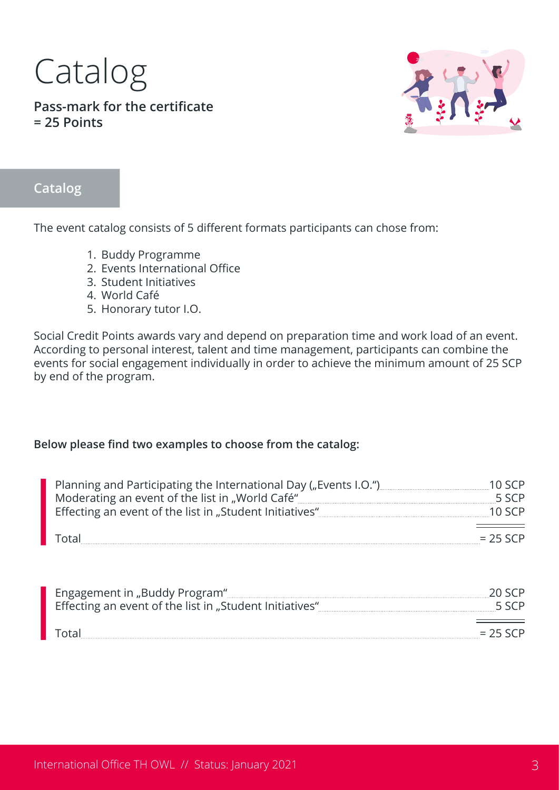## Catalog

**Pass-mark for the certificate = 25 Points**



#### **Catalog**

The event catalog consists of 5 different formats participants can chose from:

- 1. Buddy Programme
- 2. Events International Office
- 3. Student Initiatives
- 4. World Café
- 5. Honorary tutor I.O.

Social Credit Points awards vary and depend on preparation time and work load of an event. According to personal interest, talent and time management, participants can combine the events for social engagement individually in order to achieve the minimum amount of 25 SCP by end of the program.

#### **Below please find two examples to choose from the catalog:**

| Planning and Participating the International Day ("Events I.O.") |            |
|------------------------------------------------------------------|------------|
|                                                                  | 55CP       |
| Effecting an event of the list in "Student Initiatives"          | 10 SCP     |
|                                                                  |            |
| Total                                                            | $= 25$ SCP |

| Engagement in "Buddy Program"<br>Effecting an event of the list in "Student Initiatives" |           |
|------------------------------------------------------------------------------------------|-----------|
|                                                                                          | $= 75555$ |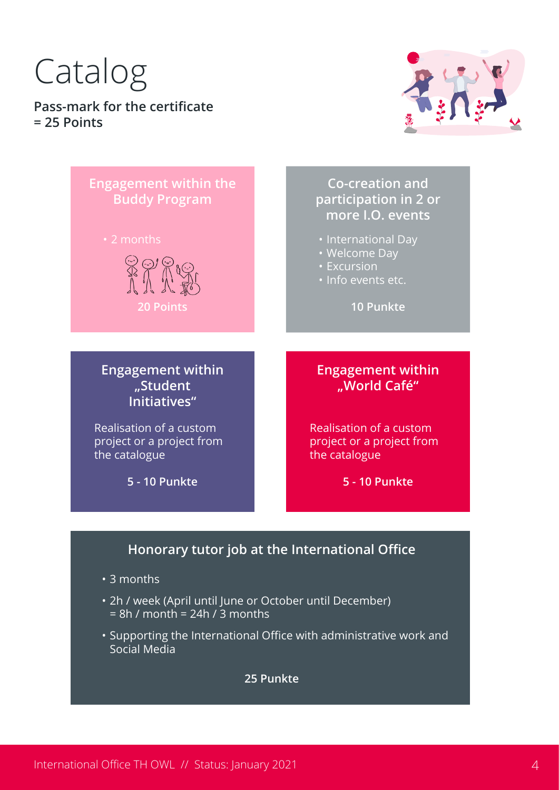# Catalog

**Pass-mark for the certificate = 25 Points**





• Supporting the International Office with administrative work and Social Media

**25 Punkte**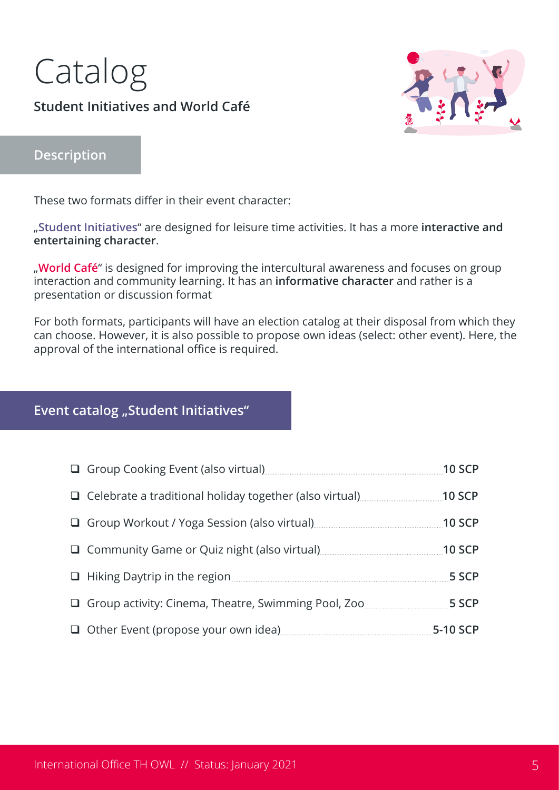### Catalog **Student Initiatives and World Café**



#### **Description**

These two formats differ in their event character:

"**Student Initiatives**" are designed for leisure time activities. It has a more **interactive and entertaining character**.

"**World Café**" is designed for improving the intercultural awareness and focuses on group interaction and community learning. It has an **informative character** and rather is a presentation or discussion format

For both formats, participants will have an election catalog at their disposal from which they can choose. However, it is also possible to propose own ideas (select: other event). Here, the approval of the international office is required.

#### **Event catalog "Student Initiatives"**

| Group Cooking Event (also virtual) [11] Group Cooking Event (also virtual)                                             | <b>10 SCP</b> |
|------------------------------------------------------------------------------------------------------------------------|---------------|
| □ Celebrate a traditional holiday together (also virtual) [11] Celebrate a traditional holiday together (also virtual) | $10$ SCP      |
| Group Workout / Yoga Session (also virtual) [11] Group Workout / Yoga Session (also virtual)                           | $10$ SCP      |
| Community Game or Quiz night (also virtual) [11] Community Game or Quiz night (also virtual)                           | $10$ SCP      |
|                                                                                                                        | 5 SCP         |
| Group activity: Cinema, Theatre, Swimming Pool, Zoo                                                                    | 5 SCP         |
| Other Event (propose your own idea) [1994] [2001] Other Event (propose your own idea)                                  | 5-10 SCP      |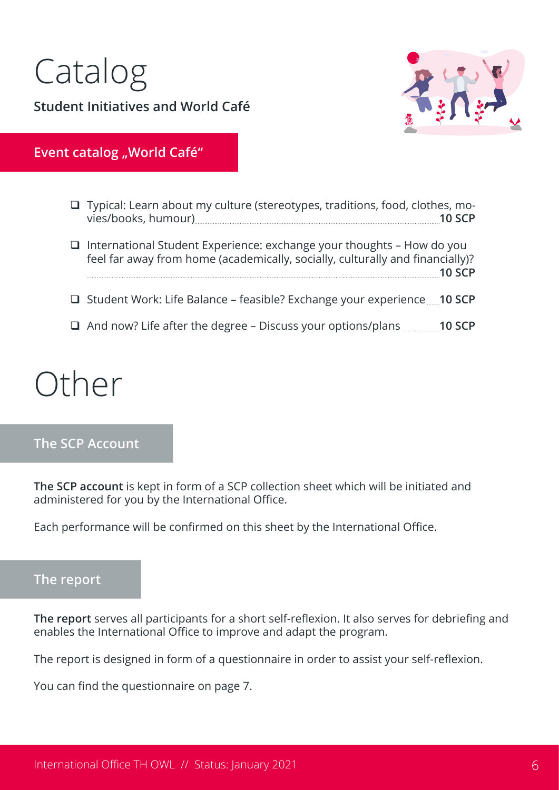



#### **Event catalog "World Café"**

| $\Box$ Typical: Learn about my culture (stereotypes, traditions, food, clothes, mo-                                                                           | <b>10 SCP</b> |
|---------------------------------------------------------------------------------------------------------------------------------------------------------------|---------------|
| $\Box$ International Student Experience: exchange your thoughts - How do you<br>feel far away from home (academically, socially, culturally and financially)? | 10 SCP        |
| □ Student Work: Life Balance – feasible? Exchange your experience10 SCP                                                                                       |               |
| $\Box$ And now? Life after the degree – Discuss your options/plans $\Box$ 10 SCP                                                                              |               |

### Other

#### **The SCP Account**

**The SCP account** is kept in form of a SCP collection sheet which will be initiated and administered for you by the International Office.

Each performance will be confirmed on this sheet by the International Office.

#### **The report**

**The report** serves all participants for a short self-reflexion. It also serves for debriefing and enables the International Office to improve and adapt the program.

The report is designed in form of a questionnaire in order to assist your self-reflexion.

You can find the questionnaire on page 7.